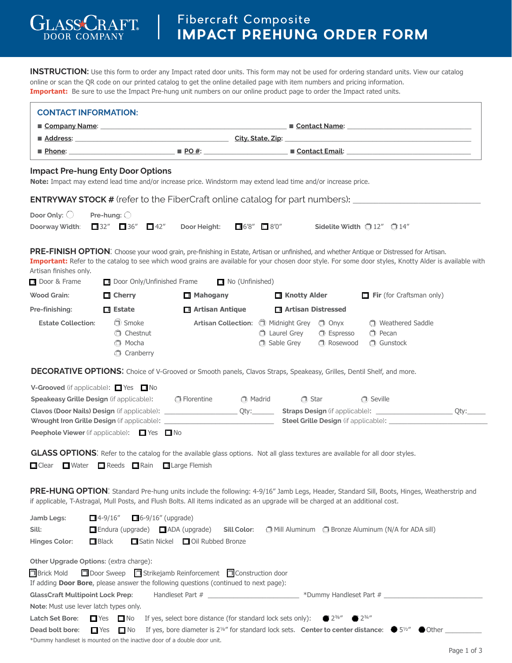**INSTRUCTION:** Use this form to order any Impact rated door units. This form may not be used for ordering standard units. View our catalog online or scan the QR code on our printed catalog to get the online detailed page with item numbers and pricing information. **Important:** Be sure to use the Impact Pre-hung unit numbers on our online product page to order the Impact rated units.

GLASSC

**DOOR COMPANY** 

 $\overline{\phantom{a}}$ 

 $ARAT$ 

| <b>CONTACT INFORMATION:</b>                                                                                                                                                                     |                                                             |                                                                                                                                                                                                                                                                                                                                                        |                                                   |                                        |                                                                |  |
|-------------------------------------------------------------------------------------------------------------------------------------------------------------------------------------------------|-------------------------------------------------------------|--------------------------------------------------------------------------------------------------------------------------------------------------------------------------------------------------------------------------------------------------------------------------------------------------------------------------------------------------------|---------------------------------------------------|----------------------------------------|----------------------------------------------------------------|--|
|                                                                                                                                                                                                 |                                                             |                                                                                                                                                                                                                                                                                                                                                        |                                                   |                                        | Contact Name: Contact Name:                                    |  |
|                                                                                                                                                                                                 |                                                             |                                                                                                                                                                                                                                                                                                                                                        |                                                   |                                        |                                                                |  |
|                                                                                                                                                                                                 |                                                             |                                                                                                                                                                                                                                                                                                                                                        |                                                   |                                        |                                                                |  |
| <b>Impact Pre-hung Enty Door Options</b>                                                                                                                                                        |                                                             | Note: Impact may extend lead time and/or increase price. Windstorm may extend lead time and/or increase price.                                                                                                                                                                                                                                         |                                                   |                                        |                                                                |  |
|                                                                                                                                                                                                 |                                                             | <b>ENTRYWAY STOCK #</b> (refer to the FiberCraft online catalog for part numbers): ________                                                                                                                                                                                                                                                            |                                                   |                                        |                                                                |  |
| Door Only: $\bigcirc$                                                                                                                                                                           | Pre-hung: $\bigcirc$                                        |                                                                                                                                                                                                                                                                                                                                                        |                                                   |                                        |                                                                |  |
| Doorway Width:                                                                                                                                                                                  | $\Box$ 32" $\Box$ 36"<br>$\Box$ 42"                         | Door Height:                                                                                                                                                                                                                                                                                                                                           | $\Box$ 6'8" $\Box$ 8'0"                           | Sidelite Width $①$ 12" $①$ 14"         |                                                                |  |
| Artisan finishes only.<br>Door & Frame                                                                                                                                                          |                                                             | PRE-FINISH OPTION: Choose your wood grain, pre-finishing in Estate, Artisan or unfinished, and whether Antique or Distressed for Artisan.<br>Important: Refer to the catalog to see which wood grains are available for your chosen door style. For some door styles, Knotty Alder is available with<br>□ Door Only/Unfinished Frame □ No (Unfinished) |                                                   |                                        |                                                                |  |
| <b>Wood Grain:</b>                                                                                                                                                                              | $\Box$ Cherry                                               | $\blacksquare$ Mahogany                                                                                                                                                                                                                                                                                                                                | □ Knotty Alder<br>$\Box$ Fir (for Craftsman only) |                                        |                                                                |  |
| Pre-finishing:                                                                                                                                                                                  | $\Box$ Estate                                               | Artisan Antique<br>Artisan Distressed                                                                                                                                                                                                                                                                                                                  |                                                   |                                        |                                                                |  |
| <b>Estate Collection:</b>                                                                                                                                                                       | $\bigcirc$ Smoke<br>Chestnut<br><b>O</b> Mocha<br>Cranberry | Artisan Collection: i Midnight Grey i Onyx                                                                                                                                                                                                                                                                                                             | C Laurel Grey<br>Sable Grey                       | <b>C</b> Espresso<br><b>C</b> Rosewood | <b>C</b> Weathered Saddle<br><b>C</b> Pecan<br><b>Gunstock</b> |  |
|                                                                                                                                                                                                 |                                                             | DECORATIVE OPTIONS: Choice of V-Grooved or Smooth panels, Clavos Straps, Speakeasy, Grilles, Dentil Shelf, and more.                                                                                                                                                                                                                                   |                                                   |                                        |                                                                |  |
| <b>V-Grooved</b> (if applicable): $\Box$ Yes $\Box$ No<br><b>Speakeasy Grille Design</b> (if applicable): <b>Depay Exercise</b><br><b>Peephole Viewer</b> (if applicable): $\Box$ Yes $\Box$ No |                                                             | <b>O</b> Madrid                                                                                                                                                                                                                                                                                                                                        | <b>O</b> Star                                     |                                        | Seville                                                        |  |
| $\Box$ Clear                                                                                                                                                                                    | ■ Water ■ Reeds ■ Rain ■ Large Flemish                      | GLASS OPTIONS: Refer to the catalog for the available glass options. Not all glass textures are available for all door styles.                                                                                                                                                                                                                         |                                                   |                                        |                                                                |  |
|                                                                                                                                                                                                 |                                                             | PRE-HUNG OPTION: Standard Pre-hung units include the following: 4-9/16" Jamb Legs, Header, Standard Sill, Boots, Hinges, Weatherstrip and<br>if applicable, T-Astragal, Mull Posts, and Flush Bolts. All items indicated as an upgrade will be charged at an additional cost.                                                                          |                                                   |                                        |                                                                |  |
| Jamb Legs:                                                                                                                                                                                      | $\Box$ 4-9/16"<br>$\Box$ 6-9/16" (upgrade)                  |                                                                                                                                                                                                                                                                                                                                                        |                                                   |                                        |                                                                |  |
| Sill:                                                                                                                                                                                           | $\Box$ Endura (upgrade) $\Box$ ADA (upgrade)                | Sill Color:                                                                                                                                                                                                                                                                                                                                            |                                                   |                                        | OMill Aluminum O Bronze Aluminum (N/A for ADA sill)            |  |
| <b>Hinges Color:</b><br>$\Box$ Black                                                                                                                                                            |                                                             | Satin Nickel <b>D</b> Oil Rubbed Bronze                                                                                                                                                                                                                                                                                                                |                                                   |                                        |                                                                |  |
| Other Upgrade Options: (extra charge):<br><b>Brick Mold</b>                                                                                                                                     |                                                             | □ Door Sweep □ Strikejamb Reinforcement □ Construction door<br>If adding Door Bore, please answer the following questions (continued to next page):                                                                                                                                                                                                    |                                                   |                                        |                                                                |  |
| <b>GlassCraft Multipoint Lock Prep:</b>                                                                                                                                                         |                                                             | Handleset Part # _______________________________*Dummy Handleset Part # ____________________________                                                                                                                                                                                                                                                   |                                                   |                                        |                                                                |  |
| Note: Must use lever latch types only.                                                                                                                                                          |                                                             |                                                                                                                                                                                                                                                                                                                                                        |                                                   |                                        |                                                                |  |
| Latch Set Bore:                                                                                                                                                                                 | $\Box$ Yes $\Box$ No                                        | If yes, select bore distance (for standard lock sets only):                                                                                                                                                                                                                                                                                            |                                                   | $2^{3/8}$ "<br>$2^{3/4}$               |                                                                |  |
| Dead bolt bore:<br>$\Box$ Yes<br>*Dummy handleset is mounted on the inactive door of a double door unit.                                                                                        | $\Box$ No                                                   | If yes, bore diameter is 2 <sup>1/6</sup> " for standard lock sets. Center to center distance: $\bullet$ 5 <sup>1/2</sup> " $\bullet$ Other $\_$                                                                                                                                                                                                       |                                                   |                                        |                                                                |  |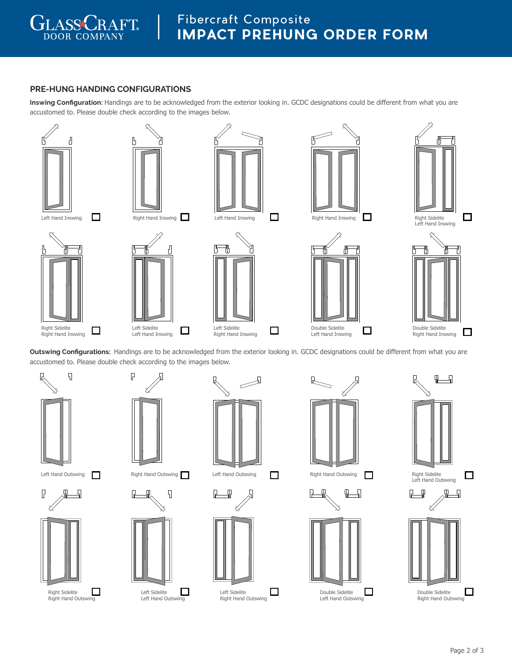

# **PRE-HUNG HANDING CONFIGURATIONS**

**Inswing Configuration:** Handings are to be acknowledged from the exterior looking in. GCDC designations could be different from what you are accustomed to. Please double check according to the images below.







 $\mathbf{L}$ 





₹

□



**Outswing Configurations:** Handings are to be acknowledged from the exterior looking in. GCDC designations could be different from what you are accustomed to. Please double check according to the images below.

 $\Box$ 

Left Sidelite Right Hand Inswing



P

Right Sidelite Right Hand Outswing



 $\Box$ 



Left Sidelite Left Hand Inswing

 $\Box$ 



Left Sidelite Left Hand Outswing



 $\begin{picture}(120,15) \put(0,0){\line(1,0){15}} \put(15,0){\line(1,0){15}} \put(15,0){\line(1,0){15}} \put(15,0){\line(1,0){15}} \put(15,0){\line(1,0){15}} \put(15,0){\line(1,0){15}} \put(15,0){\line(1,0){15}} \put(15,0){\line(1,0){15}} \put(15,0){\line(1,0){15}} \put(15,0){\line(1,0){15}} \put(15,0){\line(1,0){15}} \put(15,0){\line($ 





Left Sidelite □ Right Hand Outswing



Double Sidelite Left Hand Inswing



Double Sidelite Left Hand Outswing

 $\Box$ 





 $\Box$